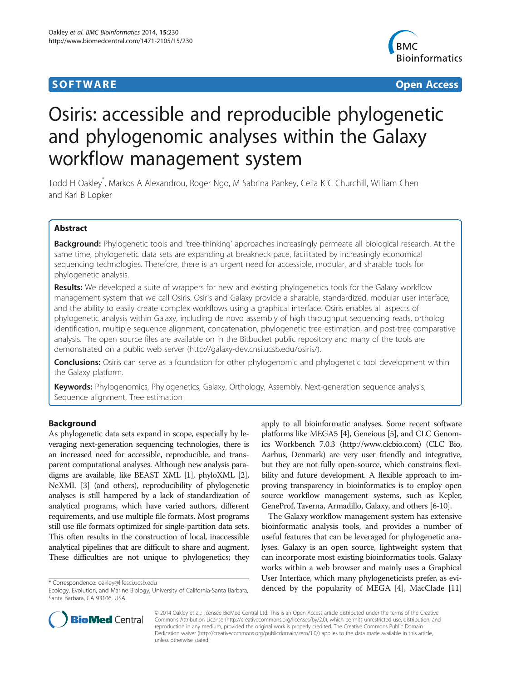## **SOFTWARE SOFTWARE** *CONSERVERSE EXECUTIVE EXECUTIVE EXECUTIVE EXECUTIVE EXECUTIVE EXECUTIVE EXECUTIVE EXECUTIVE EXECUTIVE EXECUTIVE EXECUTIVE EXECUTIVE EXECUTIVE EXECUTIVE EXECUTIVE EXECUTIVE EXECUTIVE EXECUTIVE EXECUT*



# Osiris: accessible and reproducible phylogenetic and phylogenomic analyses within the Galaxy workflow management system

Todd H Oakley\* , Markos A Alexandrou, Roger Ngo, M Sabrina Pankey, Celia K C Churchill, William Chen and Karl B Lopker

## Abstract

Background: Phylogenetic tools and 'tree-thinking' approaches increasingly permeate all biological research. At the same time, phylogenetic data sets are expanding at breakneck pace, facilitated by increasingly economical sequencing technologies. Therefore, there is an urgent need for accessible, modular, and sharable tools for phylogenetic analysis.

**Results:** We developed a suite of wrappers for new and existing phylogenetics tools for the Galaxy workflow management system that we call Osiris. Osiris and Galaxy provide a sharable, standardized, modular user interface, and the ability to easily create complex workflows using a graphical interface. Osiris enables all aspects of phylogenetic analysis within Galaxy, including de novo assembly of high throughput sequencing reads, ortholog identification, multiple sequence alignment, concatenation, phylogenetic tree estimation, and post-tree comparative analysis. The open source files are available on in the Bitbucket public repository and many of the tools are demonstrated on a public web server ([http://galaxy-dev.cnsi.ucsb.edu/osiris/\)](http://galaxy-dev.cnsi.ucsb.edu/osiris/).

**Conclusions:** Osiris can serve as a foundation for other phylogenomic and phylogenetic tool development within the Galaxy platform.

Keywords: Phylogenomics, Phylogenetics, Galaxy, Orthology, Assembly, Next-generation sequence analysis, Sequence alignment, Tree estimation

## Background

As phylogenetic data sets expand in scope, especially by leveraging next-generation sequencing technologies, there is an increased need for accessible, reproducible, and transparent computational analyses. Although new analysis paradigms are available, like BEAST XML [[1](#page-7-0)], phyloXML [[2](#page-7-0)], NeXML [\[3\]](#page-7-0) (and others), reproducibility of phylogenetic analyses is still hampered by a lack of standardization of analytical programs, which have varied authors, different requirements, and use multiple file formats. Most programs still use file formats optimized for single-partition data sets. This often results in the construction of local, inaccessible analytical pipelines that are difficult to share and augment. These difficulties are not unique to phylogenetics; they

apply to all bioinformatic analyses. Some recent software platforms like MEGA5 [[4\]](#page-7-0), Geneious [[5](#page-7-0)], and CLC Genomics Workbench 7.0.3 [\(http://www.clcbio.com](http://www.clcbio.com)) (CLC Bio, Aarhus, Denmark) are very user friendly and integrative, but they are not fully open-source, which constrains flexibility and future development. A flexible approach to improving transparency in bioinformatics is to employ open source workflow management systems, such as Kepler, GeneProf, Taverna, Armadillo, Galaxy, and others [\[6-10\]](#page-7-0).

The Galaxy workflow management system has extensive bioinformatic analysis tools, and provides a number of useful features that can be leveraged for phylogenetic analyses. Galaxy is an open source, lightweight system that can incorporate most existing bioinformatics tools. Galaxy works within a web browser and mainly uses a Graphical User Interface, which many phylogeneticists prefer, as evi-torrespondence: oakley@lifesci.ucsb.edu<br>Ecology, Evolution, and Marine Biology, University of California-Santa Barbara, denced by the popularity of MEGA [\[4\]](#page-7-0), MacClade [[11](#page-7-0)]



© 2014 Oakley et al.; licensee BioMed Central Ltd. This is an Open Access article distributed under the terms of the Creative Commons Attribution License [\(http://creativecommons.org/licenses/by/2.0\)](http://creativecommons.org/licenses/by/2.0), which permits unrestricted use, distribution, and reproduction in any medium, provided the original work is properly credited. The Creative Commons Public Domain Dedication waiver [\(http://creativecommons.org/publicdomain/zero/1.0/](http://creativecommons.org/publicdomain/zero/1.0/)) applies to the data made available in this article, unless otherwise stated.

Ecology, Evolution, and Marine Biology, University of California-Santa Barbara, Santa Barbara, CA 93106, USA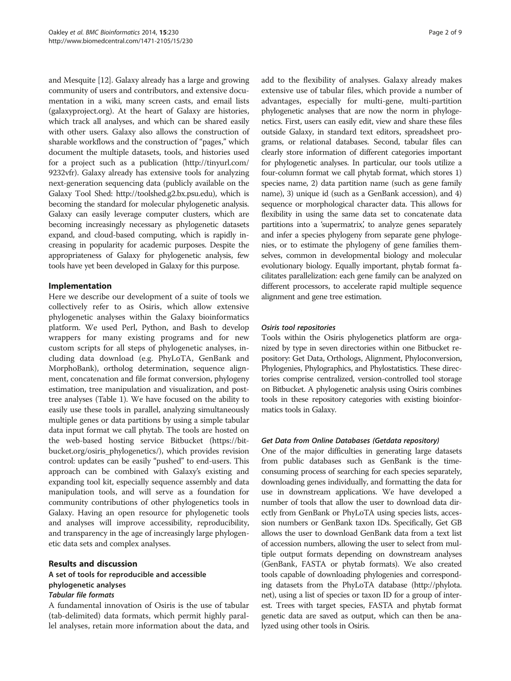and Mesquite [\[12\]](#page-7-0). Galaxy already has a large and growing community of users and contributors, and extensive documentation in a wiki, many screen casts, and email lists (galaxyproject.org). At the heart of Galaxy are histories, which track all analyses, and which can be shared easily with other users. Galaxy also allows the construction of sharable workflows and the construction of "pages," which document the multiple datasets, tools, and histories used for a project such as a publication ([http://tinyurl.com/](http://tinyurl.com/9232vfr) [9232vfr\)](http://tinyurl.com/9232vfr). Galaxy already has extensive tools for analyzing next-generation sequencing data (publicly available on the Galaxy Tool Shed: [http://toolshed.g2.bx.psu.edu\)](http://toolshed.g2.bx.psu.edu/), which is becoming the standard for molecular phylogenetic analysis. Galaxy can easily leverage computer clusters, which are becoming increasingly necessary as phylogenetic datasets expand, and cloud-based computing, which is rapidly increasing in popularity for academic purposes. Despite the appropriateness of Galaxy for phylogenetic analysis, few tools have yet been developed in Galaxy for this purpose.

## Implementation

Here we describe our development of a suite of tools we collectively refer to as Osiris, which allow extensive phylogenetic analyses within the Galaxy bioinformatics platform. We used Perl, Python, and Bash to develop wrappers for many existing programs and for new custom scripts for all steps of phylogenetic analyses, including data download (e.g. PhyLoTA, GenBank and MorphoBank), ortholog determination, sequence alignment, concatenation and file format conversion, phylogeny estimation, tree manipulation and visualization, and posttree analyses (Table [1](#page-2-0)). We have focused on the ability to easily use these tools in parallel, analyzing simultaneously multiple genes or data partitions by using a simple tabular data input format we call phytab. The tools are hosted on the web-based hosting service Bitbucket [\(https://bit](https://bitbucket.org/osiris_phylogenetics/)[bucket.org/osiris\\_phylogenetics/](https://bitbucket.org/osiris_phylogenetics/)), which provides revision control: updates can be easily "pushed" to end-users. This approach can be combined with Galaxy's existing and expanding tool kit, especially sequence assembly and data manipulation tools, and will serve as a foundation for community contributions of other phylogenetics tools in Galaxy. Having an open resource for phylogenetic tools and analyses will improve accessibility, reproducibility, and transparency in the age of increasingly large phylogenetic data sets and complex analyses.

## Results and discussion A set of tools for reproducible and accessible phylogenetic analyses Tabular file formats

A fundamental innovation of Osiris is the use of tabular (tab-delimited) data formats, which permit highly parallel analyses, retain more information about the data, and

add to the flexibility of analyses. Galaxy already makes extensive use of tabular files, which provide a number of advantages, especially for multi-gene, multi-partition phylogenetic analyses that are now the norm in phylogenetics. First, users can easily edit, view and share these files outside Galaxy, in standard text editors, spreadsheet programs, or relational databases. Second, tabular files can clearly store information of different categories important for phylogenetic analyses. In particular, our tools utilize a four-column format we call phytab format, which stores 1) species name, 2) data partition name (such as gene family name), 3) unique id (such as a GenBank accession), and 4) sequence or morphological character data. This allows for flexibility in using the same data set to concatenate data partitions into a 'supermatrix', to analyze genes separately and infer a species phylogeny from separate gene phylogenies, or to estimate the phylogeny of gene families themselves, common in developmental biology and molecular evolutionary biology. Equally important, phytab format facilitates parallelization: each gene family can be analyzed on different processors, to accelerate rapid multiple sequence alignment and gene tree estimation.

#### Osiris tool repositories

Tools within the Osiris phylogenetics platform are organized by type in seven directories within one Bitbucket repository: Get Data, Orthologs, Alignment, Phyloconversion, Phylogenies, Phylographics, and Phylostatistics. These directories comprise centralized, version-controlled tool storage on Bitbucket. A phylogenetic analysis using Osiris combines tools in these repository categories with existing bioinformatics tools in Galaxy.

#### Get Data from Online Databases (Getdata repository)

One of the major difficulties in generating large datasets from public databases such as GenBank is the timeconsuming process of searching for each species separately, downloading genes individually, and formatting the data for use in downstream applications. We have developed a number of tools that allow the user to download data directly from GenBank or PhyLoTA using species lists, accession numbers or GenBank taxon IDs. Specifically, Get GB allows the user to download GenBank data from a text list of accession numbers, allowing the user to select from multiple output formats depending on downstream analyses (GenBank, FASTA or phytab formats). We also created tools capable of downloading phylogenies and corresponding datasets from the PhyLoTA database ([http://phylota.](http://phylota.net) [net](http://phylota.net)), using a list of species or taxon ID for a group of interest. Trees with target species, FASTA and phytab format genetic data are saved as output, which can then be analyzed using other tools in Osiris.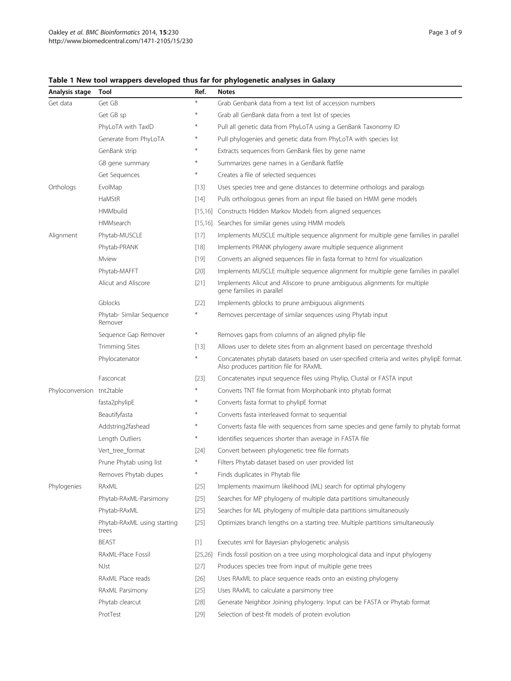| Analysis stage            | Tool                                 | Ref.     | <b>Notes</b>                                                                                                                       |
|---------------------------|--------------------------------------|----------|------------------------------------------------------------------------------------------------------------------------------------|
| Get data                  | Get GB                               | $\ast$   | Grab Genbank data from a text list of accession numbers                                                                            |
|                           | Get GB sp                            | $\ast$   | Grab all GenBank data from a text list of species                                                                                  |
|                           | PhyLoTA with TaxID                   | $\ast$   | Pull all genetic data from PhyLoTA using a GenBank Taxonomy ID                                                                     |
|                           | Generate from PhyLoTA                | $\ast$   | Pull phylogenies and genetic data from PhyLoTA with species list                                                                   |
|                           | GenBank strip                        | $\star$  | Extracts sequences from GenBank files by gene name                                                                                 |
|                           | GB gene summary                      |          | Summarizes gene names in a GenBank flatfile                                                                                        |
|                           | Get Sequences                        | $\ast$   | Creates a file of selected sequences                                                                                               |
| Orthologs                 | EvolMap                              | $[13]$   | Uses species tree and gene distances to determine orthologs and paralogs                                                           |
|                           | HaMStR                               | $[14]$   | Pulls orthologous genes from an input file based on HMM gene models                                                                |
|                           | <b>HMMbuild</b>                      | [15, 16] | Constructs Hidden Markov Models from aligned sequences                                                                             |
|                           | <b>HMMsearch</b>                     | [15, 16] | Searches for similar genes using HMM models                                                                                        |
| Alignment                 | Phytab-MUSCLE                        | $[17]$   | Implements MUSCLE multiple sequence alignment for multiple gene families in parallel                                               |
|                           | Phytab-PRANK                         | $[18]$   | Implements PRANK phylogeny aware multiple sequence alignment                                                                       |
|                           | Mview                                | $[19]$   | Converts an aligned sequences file in fasta format to html for visualization                                                       |
|                           | Phytab-MAFFT                         | $[20]$   | Implements MUSCLE multiple sequence alignment for multiple gene families in parallel                                               |
|                           | Alicut and Aliscore                  | [21]     | Implements Alicut and Aliscore to prune ambiguous alignments for multiple<br>gene families in parallel                             |
|                           | Gblocks                              | $[22]$   | Implements gblocks to prune ambiguous alignments                                                                                   |
|                           | Phytab- Similar Sequence<br>Remover  | ⋇        | Removes percentage of similar sequences using Phytab input                                                                         |
|                           | Sequence Gap Remover                 | $\ast$   | Removes gaps from columns of an aligned phylip file                                                                                |
|                           | <b>Trimming Sites</b>                | $[13]$   | Allows user to delete sites from an alignment based on percentage threshold                                                        |
|                           | Phylocatenator                       |          | Concatenates phytab datasets based on user-specified criteria and writes phylipE format.<br>Also produces partition file for RAxML |
|                           | Fasconcat                            | $[23]$   | Concatenates input sequence files using Phylip, Clustal or FASTA input                                                             |
| Phyloconversion tnt2table |                                      |          | Converts TNT file format from Morphobank into phytab format                                                                        |
|                           | fasta2phylipE                        | $\ast$   | Converts fasta format to phylipE format                                                                                            |
|                           | Beautifyfasta                        | $\ast$   | Converts fasta interleaved format to sequential                                                                                    |
|                           | Addstring2fashead                    |          | Converts fasta file with sequences from same species and gene family to phytab format                                              |
|                           | Length Outliers                      |          | Identifies sequences shorter than average in FASTA file                                                                            |
|                           | Vert_tree_format                     | [24]     | Convert between phylogenetic tree file formats                                                                                     |
|                           | Prune Phytab using list              | $\ast$   | Filters Phytab dataset based on user provided list                                                                                 |
|                           | Removes Phytab dupes                 | $\ast$   | Finds duplicates in Phytab file                                                                                                    |
| Phylogenies               | RAxML                                | $[25]$   | Implements maximum likelihood (ML) search for optimal phylogeny                                                                    |
|                           | Phytab-RAxML-Parsimony               | $[25]$   | Searches for MP phylogeny of multiple data partitions simultaneously                                                               |
|                           | Phytab-RAxML                         | $[25]$   | Searches for ML phylogeny of multiple data partitions simultaneously                                                               |
|                           | Phytab-RAxML using starting<br>trees | $[25]$   | Optimizes branch lengths on a starting tree. Multiple partitions simultaneously                                                    |
|                           | <b>BEAST</b>                         | $[1]$    | Executes xml for Bayesian phylogenetic analysis                                                                                    |
|                           | RAxML-Place Fossil                   | [25, 26] | Finds fossil position on a tree using morphological data and input phylogeny                                                       |
|                           | <b>NJst</b>                          | $[27]$   | Produces species tree from input of multiple gene trees                                                                            |
|                           | RAxML Place reads                    | $[26]$   | Uses RAxML to place sequence reads onto an existing phylogeny                                                                      |
|                           | RAxML Parsimony                      | $[25]$   | Uses RAxML to calculate a parsimony tree                                                                                           |
|                           | Phytab clearcut                      | $[28]$   | Generate Neighbor Joining phylogeny. Input can be FASTA or Phytab format                                                           |
|                           | ProtTest                             | $[29]$   | Selection of best-fit models of protein evolution                                                                                  |

## <span id="page-2-0"></span>Table 1 New tool wrappers developed thus far for phylogenetic analyses in Galaxy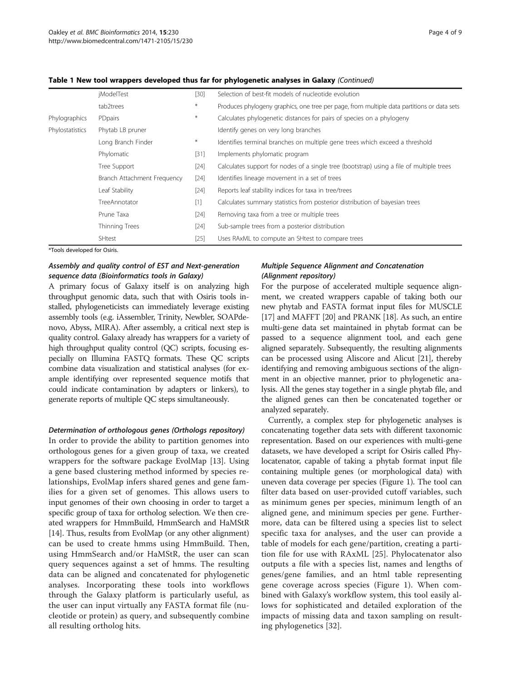|                 | iModelTest                  | [30]   | Selection of best-fit models of nucleotide evolution                                       |
|-----------------|-----------------------------|--------|--------------------------------------------------------------------------------------------|
|                 | tab2trees                   | $*$    | Produces phylogeny graphics, one tree per page, from multiple data partitions or data sets |
| Phylographics   | PDpairs                     | $\ast$ | Calculates phylogenetic distances for pairs of species on a phylogeny                      |
| Phylostatistics | Phytab LB pruner            |        | Identify genes on very long branches                                                       |
|                 | Long Branch Finder          | $*$    | Identifies terminal branches on multiple gene trees which exceed a threshold               |
|                 | Phylomatic                  | $[31]$ | Implements phylomatic program                                                              |
|                 | Tree Support                | [24]   | Calculates support for nodes of a single tree (bootstrap) using a file of multiple trees   |
|                 | Branch Attachment Frequency | $[24]$ | Identifies lineage movement in a set of trees                                              |
|                 | Leaf Stability              | [24]   | Reports leaf stability indices for taxa in tree/trees                                      |
|                 | TreeAnnotator               | [1]    | Calculates summary statistics from posterior distribution of bayesian trees                |
|                 | Prune Taxa                  | $[24]$ | Removing taxa from a tree or multiple trees                                                |
|                 | Thinning Trees              | $[24]$ | Sub-sample trees from a posterior distribution                                             |
|                 | SHtest                      | $[25]$ | Uses RAxML to compute an SHtest to compare trees                                           |

#### Table 1 New tool wrappers developed thus far for phylogenetic analyses in Galaxy (Continued)

\*Tools developed for Osiris.

## Assembly and quality control of EST and Next-generation sequence data (Bioinformatics tools in Galaxy)

A primary focus of Galaxy itself is on analyzing high throughput genomic data, such that with Osiris tools installed, phylogeneticists can immediately leverage existing assembly tools (e.g. iAssembler, Trinity, Newbler, SOAPdenovo, Abyss, MIRA). After assembly, a critical next step is quality control. Galaxy already has wrappers for a variety of high throughput quality control (QC) scripts, focusing especially on Illumina FASTQ formats. These QC scripts combine data visualization and statistical analyses (for example identifying over represented sequence motifs that could indicate contamination by adapters or linkers), to generate reports of multiple QC steps simultaneously.

#### Determination of orthologous genes (Orthologs repository)

In order to provide the ability to partition genomes into orthologous genes for a given group of taxa, we created wrappers for the software package EvolMap [[13\]](#page-8-0). Using a gene based clustering method informed by species relationships, EvolMap infers shared genes and gene families for a given set of genomes. This allows users to input genomes of their own choosing in order to target a specific group of taxa for ortholog selection. We then created wrappers for HmmBuild, HmmSearch and HaMStR [[14](#page-8-0)]. Thus, results from EvolMap (or any other alignment) can be used to create hmms using HmmBuild. Then, using HmmSearch and/or HaMStR, the user can scan query sequences against a set of hmms. The resulting data can be aligned and concatenated for phylogenetic analyses. Incorporating these tools into workflows through the Galaxy platform is particularly useful, as the user can input virtually any FASTA format file (nucleotide or protein) as query, and subsequently combine all resulting ortholog hits.

#### Multiple Sequence Alignment and Concatenation (Alignment repository)

For the purpose of accelerated multiple sequence alignment, we created wrappers capable of taking both our new phytab and FASTA format input files for MUSCLE [[17](#page-8-0)] and MAFFT [[20](#page-8-0)] and PRANK [[18](#page-8-0)]. As such, an entire multi-gene data set maintained in phytab format can be passed to a sequence alignment tool, and each gene aligned separately. Subsequently, the resulting alignments can be processed using Aliscore and Alicut [\[21\]](#page-8-0), thereby identifying and removing ambiguous sections of the alignment in an objective manner, prior to phylogenetic analysis. All the genes stay together in a single phytab file, and the aligned genes can then be concatenated together or analyzed separately.

Currently, a complex step for phylogenetic analyses is concatenating together data sets with different taxonomic representation. Based on our experiences with multi-gene datasets, we have developed a script for Osiris called Phylocatenator, capable of taking a phytab format input file containing multiple genes (or morphological data) with uneven data coverage per species (Figure [1](#page-4-0)). The tool can filter data based on user-provided cutoff variables, such as minimum genes per species, minimum length of an aligned gene, and minimum species per gene. Furthermore, data can be filtered using a species list to select specific taxa for analyses, and the user can provide a table of models for each gene/partition, creating a partition file for use with RAxML [[25](#page-8-0)]. Phylocatenator also outputs a file with a species list, names and lengths of genes/gene families, and an html table representing gene coverage across species (Figure [1\)](#page-4-0). When combined with Galaxy's workflow system, this tool easily allows for sophisticated and detailed exploration of the impacts of missing data and taxon sampling on resulting phylogenetics [[32](#page-8-0)].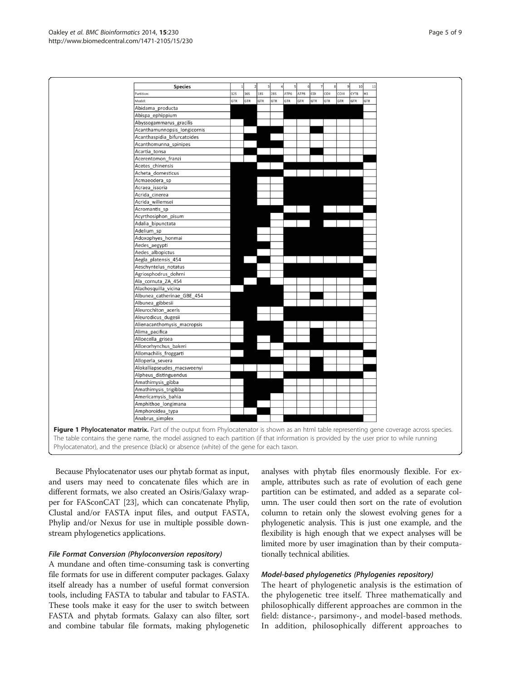<span id="page-4-0"></span>

Because Phylocatenator uses our phytab format as input, and users may need to concatenate files which are in different formats, we also created an Osiris/Galaxy wrapper for FASconCAT [\[23\]](#page-8-0), which can concatenate Phylip, Clustal and/or FASTA input files, and output FASTA, Phylip and/or Nexus for use in multiple possible downstream phylogenetics applications.

#### File Format Conversion (Phyloconversion repository)

A mundane and often time-consuming task is converting file formats for use in different computer packages. Galaxy itself already has a number of useful format conversion tools, including FASTA to tabular and tabular to FASTA. These tools make it easy for the user to switch between FASTA and phytab formats. Galaxy can also filter, sort and combine tabular file formats, making phylogenetic

analyses with phytab files enormously flexible. For example, attributes such as rate of evolution of each gene partition can be estimated, and added as a separate column. The user could then sort on the rate of evolution column to retain only the slowest evolving genes for a phylogenetic analysis. This is just one example, and the flexibility is high enough that we expect analyses will be limited more by user imagination than by their computationally technical abilities.

#### Model-based phylogenetics (Phylogenies repository)

The heart of phylogenetic analysis is the estimation of the phylogenetic tree itself. Three mathematically and philosophically different approaches are common in the field: distance-, parsimony-, and model-based methods. In addition, philosophically different approaches to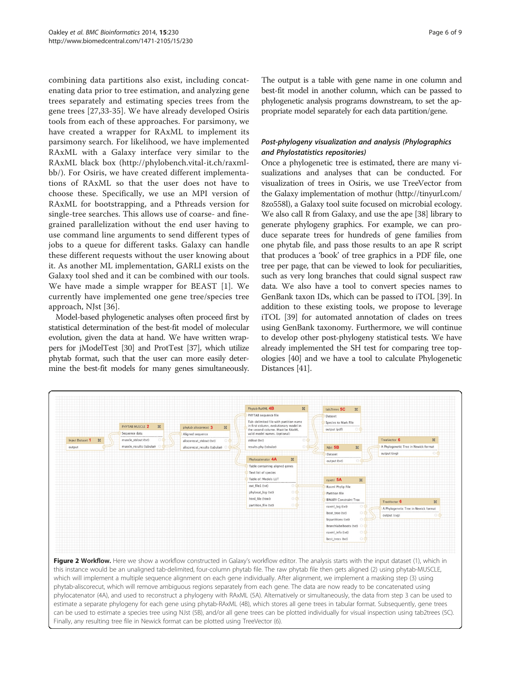<span id="page-5-0"></span>combining data partitions also exist, including concatenating data prior to tree estimation, and analyzing gene trees separately and estimating species trees from the gene trees [[27,33](#page-8-0)-[35\]](#page-8-0). We have already developed Osiris tools from each of these approaches. For parsimony, we have created a wrapper for RAxML to implement its parsimony search. For likelihood, we have implemented RAxML with a Galaxy interface very similar to the RAxML black box [\(http://phylobench.vital-it.ch/raxml](http://phylobench.vital-it.ch/raxml-bb/)[bb/\)](http://phylobench.vital-it.ch/raxml-bb/). For Osiris, we have created different implementations of RAxML so that the user does not have to choose these. Specifically, we use an MPI version of RAxML for bootstrapping, and a Pthreads version for single-tree searches. This allows use of coarse- and finegrained parallelization without the end user having to use command line arguments to send different types of jobs to a queue for different tasks. Galaxy can handle these different requests without the user knowing about it. As another ML implementation, GARLI exists on the Galaxy tool shed and it can be combined with our tools. We have made a simple wrapper for BEAST [[1](#page-7-0)]. We currently have implemented one gene tree/species tree approach, NJst [[36](#page-8-0)].

Model-based phylogenetic analyses often proceed first by statistical determination of the best-fit model of molecular evolution, given the data at hand. We have written wrappers for jModelTest [\[30\]](#page-8-0) and ProtTest [[37](#page-8-0)], which utilize phytab format, such that the user can more easily determine the best-fit models for many genes simultaneously. The output is a table with gene name in one column and best-fit model in another column, which can be passed to phylogenetic analysis programs downstream, to set the appropriate model separately for each data partition/gene.

## Post-phylogeny visualization and analysis (Phylographics and Phylostatistics repositories)

Once a phylogenetic tree is estimated, there are many visualizations and analyses that can be conducted. For visualization of trees in Osiris, we use TreeVector from the Galaxy implementation of mothur ([http://tinyurl.com/](http://tinyurl.com/8zo558l) [8zo558l\)](http://tinyurl.com/8zo558l), a Galaxy tool suite focused on microbial ecology. We also call R from Galaxy, and use the ape [[38](#page-8-0)] library to generate phylogeny graphics. For example, we can produce separate trees for hundreds of gene families from one phytab file, and pass those results to an ape R script that produces a 'book' of tree graphics in a PDF file, one tree per page, that can be viewed to look for peculiarities, such as very long branches that could signal suspect raw data. We also have a tool to convert species names to GenBank taxon IDs, which can be passed to iTOL [\[39](#page-8-0)]. In addition to these existing tools, we propose to leverage iTOL [\[39](#page-8-0)] for automated annotation of clades on trees using GenBank taxonomy. Furthermore, we will continue to develop other post-phylogeny statistical tests. We have already implemented the SH test for comparing tree topologies [\[40\]](#page-8-0) and we have a tool to calculate Phylogenetic Distances [[41](#page-8-0)].

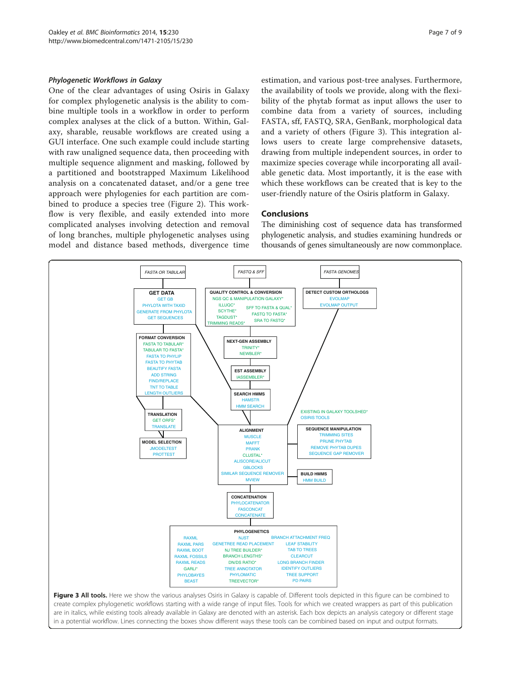#### Phylogenetic Workflows in Galaxy

One of the clear advantages of using Osiris in Galaxy for complex phylogenetic analysis is the ability to combine multiple tools in a workflow in order to perform complex analyses at the click of a button. Within, Galaxy, sharable, reusable workflows are created using a GUI interface. One such example could include starting with raw unaligned sequence data, then proceeding with multiple sequence alignment and masking, followed by a partitioned and bootstrapped Maximum Likelihood analysis on a concatenated dataset, and/or a gene tree approach were phylogenies for each partition are combined to produce a species tree (Figure [2](#page-5-0)). This workflow is very flexible, and easily extended into more complicated analyses involving detection and removal of long branches, multiple phylogenetic analyses using model and distance based methods, divergence time

estimation, and various post-tree analyses. Furthermore, the availability of tools we provide, along with the flexibility of the phytab format as input allows the user to combine data from a variety of sources, including FASTA, sff, FASTQ, SRA, GenBank, morphological data and a variety of others (Figure 3). This integration allows users to create large comprehensive datasets, drawing from multiple independent sources, in order to maximize species coverage while incorporating all available genetic data. Most importantly, it is the ease with which these workflows can be created that is key to the user-friendly nature of the Osiris platform in Galaxy.

#### **Conclusions**

The diminishing cost of sequence data has transformed phylogenetic analysis, and studies examining hundreds or thousands of genes simultaneously are now commonplace.



create complex phylogenetic workflows starting with a wide range of input files. Tools for which we created wrappers as part of this publication are in italics, while existing tools already available in Galaxy are denoted with an asterisk. Each box depicts an analysis category or different stage in a potential workflow. Lines connecting the boxes show different ways these tools can be combined based on input and output formats.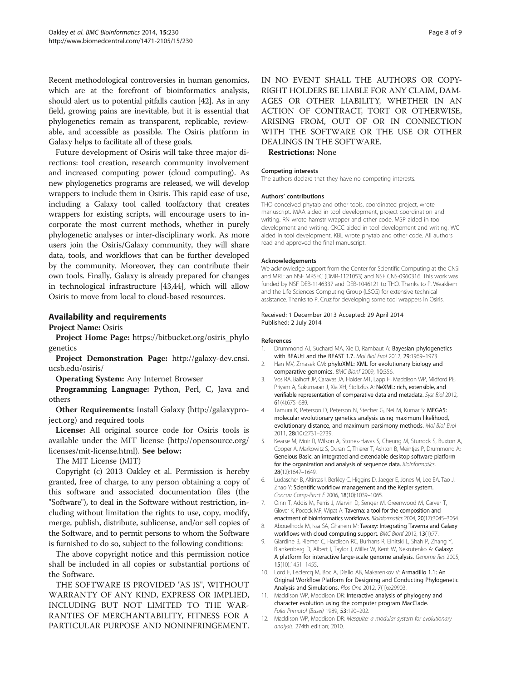<span id="page-7-0"></span>Recent methodological controversies in human genomics, which are at the forefront of bioinformatics analysis, should alert us to potential pitfalls caution [\[42\]](#page-8-0). As in any field, growing pains are inevitable, but it is essential that phylogenetics remain as transparent, replicable, reviewable, and accessible as possible. The Osiris platform in Galaxy helps to facilitate all of these goals.

Future development of Osiris will take three major directions: tool creation, research community involvement and increased computing power (cloud computing). As new phylogenetics programs are released, we will develop wrappers to include them in Osiris. This rapid ease of use, including a Galaxy tool called toolfactory that creates wrappers for existing scripts, will encourage users to incorporate the most current methods, whether in purely phylogenetic analyses or inter-disciplinary work. As more users join the Osiris/Galaxy community, they will share data, tools, and workflows that can be further developed by the community. Moreover, they can contribute their own tools. Finally, Galaxy is already prepared for changes in technological infrastructure [\[43,44](#page-8-0)], which will allow Osiris to move from local to cloud-based resources.

#### Availability and requirements

Project Name: Osiris

Project Home Page: [https://bitbucket.org/osiris\\_phylo](https://bitbucket.org/osiris_phylogenetics) [genetics](https://bitbucket.org/osiris_phylogenetics)

Project Demonstration Page: [http://galaxy-dev.cnsi.](http://galaxy-dev.cnsi.ucsb.edu/osiris/) [ucsb.edu/osiris/](http://galaxy-dev.cnsi.ucsb.edu/osiris/)

Operating System: Any Internet Browser

Programming Language: Python, Perl, C, Java and others

Other Requirements: Install Galaxy [\(http://galaxypro](http://galaxyproject.org)[ject.org\)](http://galaxyproject.org) and required tools

License: All original source code for Osiris tools is available under the MIT license [\(http://opensource.org/](http://opensource.org/licenses/mit-license.html) [licenses/mit-license.html\)](http://opensource.org/licenses/mit-license.html). See below:

The MIT License (MIT)

Copyright (c) 2013 Oakley et al. Permission is hereby granted, free of charge, to any person obtaining a copy of this software and associated documentation files (the "Software"), to deal in the Software without restriction, including without limitation the rights to use, copy, modify, merge, publish, distribute, sublicense, and/or sell copies of the Software, and to permit persons to whom the Software is furnished to do so, subject to the following conditions:

The above copyright notice and this permission notice shall be included in all copies or substantial portions of the Software.

THE SOFTWARE IS PROVIDED "AS IS", WITHOUT WARRANTY OF ANY KIND, EXPRESS OR IMPLIED, INCLUDING BUT NOT LIMITED TO THE WAR-RANTIES OF MERCHANTABILITY, FITNESS FOR A PARTICULAR PURPOSE AND NONINFRINGEMENT.

IN NO EVENT SHALL THE AUTHORS OR COPY-RIGHT HOLDERS BE LIABLE FOR ANY CLAIM, DAM-AGES OR OTHER LIABILITY, WHETHER IN AN ACTION OF CONTRACT, TORT OR OTHERWISE, ARISING FROM, OUT OF OR IN CONNECTION WITH THE SOFTWARE OR THE USE OR OTHER DEALINGS IN THE SOFTWARE.

Restrictions: None

#### Competing interests

The authors declare that they have no competing interests.

#### Authors' contributions

THO conceived phytab and other tools, coordinated project, wrote manuscript. MAA aided in tool development, project coordination and writing. RN wrote hamstr wrapper and other code. MSP aided in tool development and writing. CKCC aided in tool development and writing. WC aided in tool development. KBL wrote phytab and other code. All authors read and approved the final manuscript.

#### Acknowledgements

We acknowledge support from the Center for Scientific Computing at the CNSI and MRL: an NSF MRSEC (DMR-1121053) and NSF CNS-0960316. This work was funded by NSF DEB-1146337 and DEB-1046121 to THO. Thanks to P. Weakliem and the Life Sciences Computing Group (LSCG) for extensive technical assistance. Thanks to P. Cruz for developing some tool wrappers in Osiris.

#### Received: 1 December 2013 Accepted: 29 April 2014 Published: 2 July 2014

#### References

- 1. Drummond AJ, Suchard MA, Xie D, Rambaut A: Bayesian phylogenetics with BEAUti and the BEAST 1.7. Mol Biol Evol 2012, 29:1969–1973.
- 2. Han MV, Zmasek CM: phyloXML: XML for evolutionary biology and comparative genomics. BMC Bionf 2009, 10:356.
- 3. Vos RA, Balhoff JP, Caravas JA, Holder MT, Lapp H, Maddison WP, Midford PE, Priyam A, Sukumaran J, Xia XH, Stoltzfus A: NeXML: rich, extensible, and verifiable representation of comparative data and metadata. Syst Biol 2012, 61(4):675–689.
- 4. Tamura K, Peterson D, Peterson N, Stecher G, Nei M, Kumar S: MEGA5: molecular evolutionary genetics analysis using maximum likelihood, evolutionary distance, and maximum parsimony methods. Mol Biol Evol 2011, 28(10):2731–2739.
- 5. Kearse M, Moir R, Wilson A, Stones-Havas S, Cheung M, Sturrock S, Buxton A, Cooper A, Markowitz S, Duran C, Thierer T, Ashton B, Meintjes P, Drummond A: Geneious Basic: an integrated and extendable desktop software platform for the organization and analysis of sequence data. Bioinformatics, 28(12):1647–1649.
- 6. Ludascher B, Altintas I, Berkley C, Higgins D, Jaeger E, Jones M, Lee EA, Tao J, Zhao Y: Scientific workflow management and the Kepler system. Concurr Comp-Pract E 2006, 18(10):1039–1065.
- 7. Oinn T, Addis M, Ferris J, Marvin D, Senger M, Greenwood M, Carver T, Glover K, Pocock MR, Wipat A: Taverna: a tool for the composition and enactment of bioinformatics workflows. Bioinformatics 2004, 20(17):3045–3054.
- 8. Abouelhoda M, Issa SA, Ghanem M: Tavaxy: Integrating Taverna and Galaxy workflows with cloud computing support. BMC Bionf 2012, 13(1):77.
- 9. Giardine B, Riemer C, Hardison RC, Burhans R, Elnitski L, Shah P, Zhang Y, Blankenberg D, Albert I, Taylor J, Miller W, Kent W, Nekrutenko A: Galaxy: A platform for interactive large-scale genome analysis. Genome Res 2005, 15(10):1451–1455.
- 10. Lord E, Leclercq M, Boc A, Diallo AB, Makarenkov V: Armadillo 1.1: An Original Workflow Platform for Designing and Conducting Phylogenetic Analysis and Simulations. Plos One 2012, 7(1):e29903.
- 11. Maddison WP, Maddison DR: Interactive analysis of phylogeny and character evolution using the computer program MacClade. Folia Primatol (Basel) 1989, 53:190–202.
- 12. Maddison WP, Maddison DR: Mesquite: a modular system for evolutionary analysis. 274th edition; 2010.